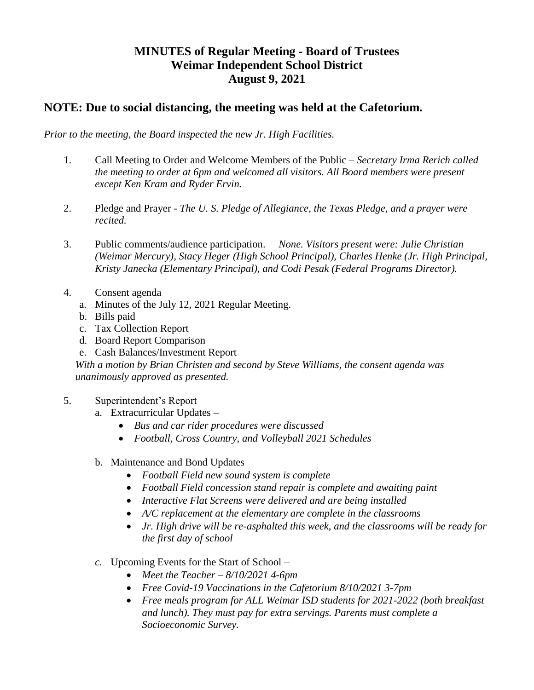## **MINUTES of Regular Meeting - Board of Trustees Weimar Independent School District August 9, 2021**

## **NOTE: Due to social distancing, the meeting was held at the Cafetorium.**

*Prior to the meeting, the Board inspected the new Jr. High Facilities.* 

- 1. Call Meeting to Order and Welcome Members of the Public *Secretary Irma Rerich called the meeting to order at 6pm and welcomed all visitors. All Board members were present except Ken Kram and Ryder Ervin.*
- 2. Pledge and Prayer *The U. S. Pledge of Allegiance, the Texas Pledge, and a prayer were recited.*
- 3. Public comments/audience participation. *None. Visitors present were: Julie Christian (Weimar Mercury), Stacy Heger (High School Principal), Charles Henke (Jr. High Principal, Kristy Janecka (Elementary Principal), and Codi Pesak (Federal Programs Director).*
- 4. Consent agenda
	- a. Minutes of the July 12, 2021 Regular Meeting.
	- b. Bills paid
	- c. Tax Collection Report
	- d. Board Report Comparison
	- e. Cash Balances/Investment Report

*With a motion by Brian Christen and second by Steve Williams, the consent agenda was unanimously approved as presented.* 

- 5. Superintendent's Report
	- a. Extracurricular Updates
		- *Bus and car rider procedures were discussed*
		- *Football, Cross Country, and Volleyball 2021 Schedules*
	- b. Maintenance and Bond Updates
		- *Football Field new sound system is complete*
		- *Football Field concession stand repair is complete and awaiting paint*
		- *Interactive Flat Screens were delivered and are being installed*
		- *A/C replacement at the elementary are complete in the classrooms*
		- *Jr. High drive will be re-asphalted this week, and the classrooms will be ready for the first day of school*
	- *c.* Upcoming Events for the Start of School
		- *Meet the Teacher – 8/10/2021 4-6pm*
		- *Free Covid-19 Vaccinations in the Cafetorium 8/10/2021 3-7pm*
		- *Free meals program for ALL Weimar ISD students for 2021-2022 (both breakfast and lunch). They must pay for extra servings. Parents must complete a Socioeconomic Survey.*